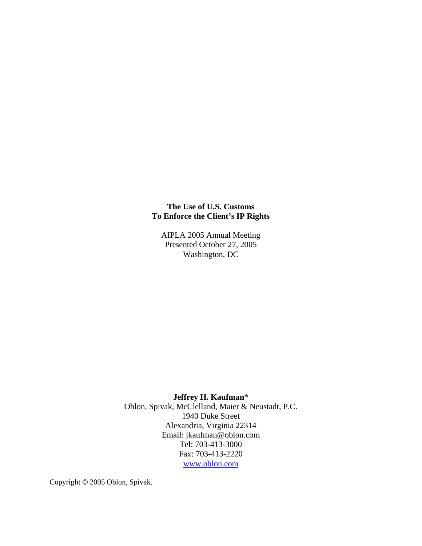# **The Use of U.S. Customs To Enforce the Client's IP Rights**

AIPLA 2005 Annual Meeting Presented October 27, 2005 Washington, DC

## **Jeffrey H. Kaufman**\*

Oblon, Spivak, McClelland, Maier & Neustadt, P.C. 1940 Duke Street Alexandria, Virginia 22314 Email: jkaufman@oblon.com Tel: 703-413-3000 Fax: 703-413-2220 [www.oblon.com](http://www.oblon.com/) 

Copyright **©** 2005 Oblon, Spivak.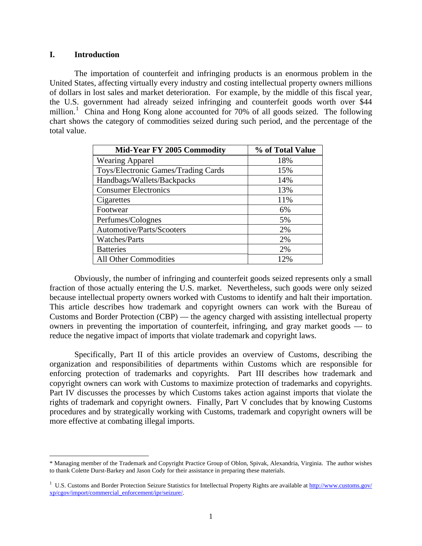#### **I. Introduction**

 $\overline{a}$ 

 The importation of counterfeit and infringing products is an enormous problem in the United States, affecting virtually every industry and costing intellectual property owners millions of dollars in lost sales and market deterioration. For example, by the middle of this fiscal year, the U.S. government had already seized infringing and counterfeit goods worth over \$44 million.<sup>[1](#page-1-0)</sup> China and Hong Kong alone accounted for 70% of all goods seized. The following chart shows the category of commodities seized during such period, and the percentage of the total value.

| <b>Mid-Year FY 2005 Commodity</b>   | % of Total Value |
|-------------------------------------|------------------|
| <b>Wearing Apparel</b>              | 18%              |
| Toys/Electronic Games/Trading Cards | 15%              |
| Handbags/Wallets/Backpacks          | 14%              |
| <b>Consumer Electronics</b>         | 13%              |
| Cigarettes                          | 11%              |
| Footwear                            | 6%               |
| Perfumes/Colognes                   | 5%               |
| Automotive/Parts/Scooters           | 2%               |
| Watches/Parts                       | 2%               |
| <b>Batteries</b>                    | 2%               |
| All Other Commodities               | 12%              |

 Obviously, the number of infringing and counterfeit goods seized represents only a small fraction of those actually entering the U.S. market. Nevertheless, such goods were only seized because intellectual property owners worked with Customs to identify and halt their importation. This article describes how trademark and copyright owners can work with the Bureau of Customs and Border Protection (CBP) — the agency charged with assisting intellectual property owners in preventing the importation of counterfeit, infringing, and gray market goods — to reduce the negative impact of imports that violate trademark and copyright laws.

 Specifically, Part II of this article provides an overview of Customs, describing the organization and responsibilities of departments within Customs which are responsible for enforcing protection of trademarks and copyrights. Part III describes how trademark and copyright owners can work with Customs to maximize protection of trademarks and copyrights. Part IV discusses the processes by which Customs takes action against imports that violate the rights of trademark and copyright owners. Finally, Part V concludes that by knowing Customs procedures and by strategically working with Customs, trademark and copyright owners will be more effective at combating illegal imports.

<span id="page-1-0"></span><sup>\*</sup> Managing member of the Trademark and Copyright Practice Group of Oblon, Spivak, Alexandria, Virginia. The author wishes to thank Colette Durst-Barkey and Jason Cody for their assistance in preparing these materials.

<sup>&</sup>lt;sup>1</sup> U.S. Customs and Border Protection Seizure Statistics for Intellectual Property Rights are available at<http://www.customs.gov/> xp/cgov/import/commercial\_enforcement/ipr/seizure/.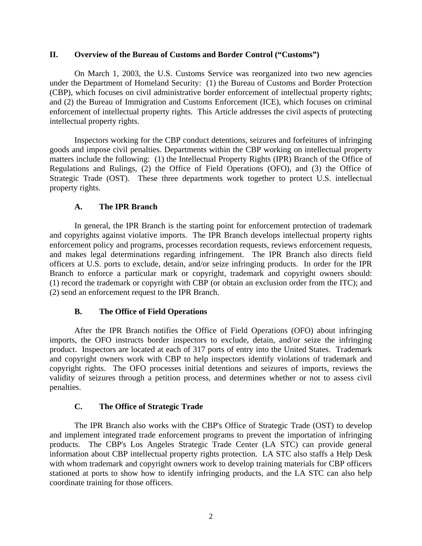#### **II. Overview of the Bureau of Customs and Border Control ("Customs")**

 On March 1, 2003, the U.S. Customs Service was reorganized into two new agencies under the Department of Homeland Security: (1) the Bureau of Customs and Border Protection (CBP), which focuses on civil administrative border enforcement of intellectual property rights; and (2) the Bureau of Immigration and Customs Enforcement (ICE), which focuses on criminal enforcement of intellectual property rights. This Article addresses the civil aspects of protecting intellectual property rights.

 Inspectors working for the CBP conduct detentions, seizures and forfeitures of infringing goods and impose civil penalties. Departments within the CBP working on intellectual property matters include the following: (1) the Intellectual Property Rights (IPR) Branch of the Office of Regulations and Rulings, (2) the Office of Field Operations (OFO), and (3) the Office of Strategic Trade (OST). These three departments work together to protect U.S. intellectual property rights.

## **A. The IPR Branch**

 In general, the IPR Branch is the starting point for enforcement protection of trademark and copyrights against violative imports. The IPR Branch develops intellectual property rights enforcement policy and programs, processes recordation requests, reviews enforcement requests, and makes legal determinations regarding infringement. The IPR Branch also directs field officers at U.S. ports to exclude, detain, and/or seize infringing products. In order for the IPR Branch to enforce a particular mark or copyright, trademark and copyright owners should: (1) record the trademark or copyright with CBP (or obtain an exclusion order from the ITC); and (2) send an enforcement request to the IPR Branch.

## **B. The Office of Field Operations**

 After the IPR Branch notifies the Office of Field Operations (OFO) about infringing imports, the OFO instructs border inspectors to exclude, detain, and/or seize the infringing product. Inspectors are located at each of 317 ports of entry into the United States. Trademark and copyright owners work with CBP to help inspectors identify violations of trademark and copyright rights. The OFO processes initial detentions and seizures of imports, reviews the validity of seizures through a petition process, and determines whether or not to assess civil penalties.

## **C. The Office of Strategic Trade**

 The IPR Branch also works with the CBP's Office of Strategic Trade (OST) to develop and implement integrated trade enforcement programs to prevent the importation of infringing products. The CBP's Los Angeles Strategic Trade Center (LA STC) can provide general information about CBP intellectual property rights protection. LA STC also staffs a Help Desk with whom trademark and copyright owners work to develop training materials for CBP officers stationed at ports to show how to identify infringing products, and the LA STC can also help coordinate training for those officers.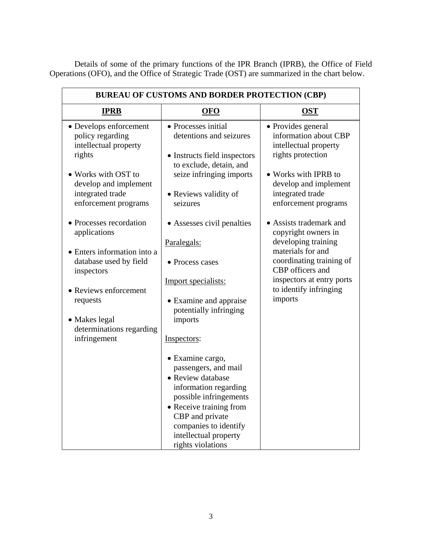Details of some of the primary functions of the IPR Branch (IPRB), the Office of Field Operations (OFO), and the Office of Strategic Trade (OST) are summarized in the chart below.

| <b>BUREAU OF CUSTOMS AND BORDER PROTECTION (CBP)</b>                          |                                                                                                                                                                                                                                       |                                                                                           |  |
|-------------------------------------------------------------------------------|---------------------------------------------------------------------------------------------------------------------------------------------------------------------------------------------------------------------------------------|-------------------------------------------------------------------------------------------|--|
| <b>IPRB</b>                                                                   | <b>OFO</b>                                                                                                                                                                                                                            | <b>OST</b>                                                                                |  |
| • Develops enforcement<br>policy regarding<br>intellectual property<br>rights | • Processes initial<br>detentions and seizures<br>• Instructs field inspectors<br>to exclude, detain, and                                                                                                                             | • Provides general<br>information about CBP<br>intellectual property<br>rights protection |  |
| • Works with OST to<br>develop and implement<br>integrated trade              | seize infringing imports<br>• Reviews validity of                                                                                                                                                                                     | • Works with IPRB to<br>develop and implement<br>integrated trade                         |  |
| enforcement programs                                                          | seizures                                                                                                                                                                                                                              | enforcement programs                                                                      |  |
| • Processes recordation<br>applications                                       | • Assesses civil penalties                                                                                                                                                                                                            | • Assists trademark and<br>copyright owners in                                            |  |
| • Enters information into a                                                   | Paralegals:                                                                                                                                                                                                                           | developing training<br>materials for and                                                  |  |
| database used by field<br>inspectors                                          | • Process cases                                                                                                                                                                                                                       | coordinating training of<br>CBP officers and                                              |  |
| • Reviews enforcement                                                         | Import specialists:                                                                                                                                                                                                                   | inspectors at entry ports<br>to identify infringing<br>imports                            |  |
| requests                                                                      | • Examine and appraise<br>potentially infringing                                                                                                                                                                                      |                                                                                           |  |
| • Makes legal<br>determinations regarding<br>infringement                     | imports<br>Inspectors:                                                                                                                                                                                                                |                                                                                           |  |
|                                                                               | · Examine cargo,<br>passengers, and mail<br>• Review database<br>information regarding<br>possible infringements<br>• Receive training from<br>CBP and private<br>companies to identify<br>intellectual property<br>rights violations |                                                                                           |  |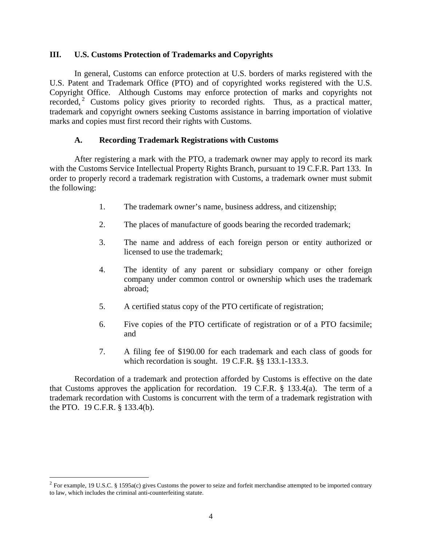#### **III. U.S. Customs Protection of Trademarks and Copyrights**

 In general, Customs can enforce protection at U.S. borders of marks registered with the U.S. Patent and Trademark Office (PTO) and of copyrighted works registered with the U.S. Copyright Office. Although Customs may enforce protection of marks and copyrights not recorded,<sup>[2](#page-4-0)</sup> Customs policy gives priority to recorded rights. Thus, as a practical matter, trademark and copyright owners seeking Customs assistance in barring importation of violative marks and copies must first record their rights with Customs.

## **A. Recording Trademark Registrations with Customs**

 After registering a mark with the PTO, a trademark owner may apply to record its mark with the Customs Service Intellectual Property Rights Branch, pursuant to 19 C.F.R. Part 133. In order to properly record a trademark registration with Customs, a trademark owner must submit the following:

- 1. The trademark owner's name, business address, and citizenship;
- 2. The places of manufacture of goods bearing the recorded trademark;
- 3. The name and address of each foreign person or entity authorized or licensed to use the trademark;
- 4. The identity of any parent or subsidiary company or other foreign company under common control or ownership which uses the trademark abroad;
- 5. A certified status copy of the PTO certificate of registration;
- 6. Five copies of the PTO certificate of registration or of a PTO facsimile; and
- 7. A filing fee of \$190.00 for each trademark and each class of goods for which recordation is sought. 19 C.F.R. §§ 133.1-133.3.

 Recordation of a trademark and protection afforded by Customs is effective on the date that Customs approves the application for recordation. 19 C.F.R. § 133.4(a). The term of a trademark recordation with Customs is concurrent with the term of a trademark registration with the PTO. 19 C.F.R. § 133.4(b).

<span id="page-4-0"></span> $2$  For example, 19 U.S.C. § 1595a(c) gives Customs the power to seize and forfeit merchandise attempted to be imported contrary to law, which includes the criminal anti-counterfeiting statute.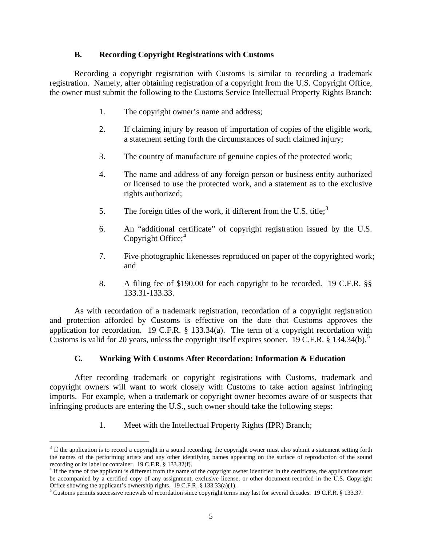## **B. Recording Copyright Registrations with Customs**

 Recording a copyright registration with Customs is similar to recording a trademark registration. Namely, after obtaining registration of a copyright from the U.S. Copyright Office, the owner must submit the following to the Customs Service Intellectual Property Rights Branch:

- 1. The copyright owner's name and address;
- 2. If claiming injury by reason of importation of copies of the eligible work, a statement setting forth the circumstances of such claimed injury;
- 3. The country of manufacture of genuine copies of the protected work;
- 4. The name and address of any foreign person or business entity authorized or licensed to use the protected work, and a statement as to the exclusive rights authorized;
- 5. The foreign titles of the work, if different from the U.S. title;<sup>[3](#page-5-0)</sup>
- 6. An "additional certificate" of copyright registration issued by the U.S. Copyright Office;<sup>[4](#page-5-1)</sup>
- 7. Five photographic likenesses reproduced on paper of the copyrighted work; and
- 8. A filing fee of \$190.00 for each copyright to be recorded. 19 C.F.R. §§ 133.31-133.33.

 As with recordation of a trademark registration, recordation of a copyright registration and protection afforded by Customs is effective on the date that Customs approves the application for recordation. 19 C.F.R. § 133.34(a). The term of a copyright recordation with Customs is valid for 20 years, unless the copyright itself expires sooner. 19 C.F.R.  $\S$  134.34(b).<sup>[5](#page-5-2)</sup>

# **C. Working With Customs After Recordation: Information & Education**

 After recording trademark or copyright registrations with Customs, trademark and copyright owners will want to work closely with Customs to take action against infringing imports. For example, when a trademark or copyright owner becomes aware of or suspects that infringing products are entering the U.S., such owner should take the following steps:

1. Meet with the Intellectual Property Rights (IPR) Branch;

<span id="page-5-0"></span> $3$  If the application is to record a copyright in a sound recording, the copyright owner must also submit a statement setting forth the names of the performing artists and any other identifying names appearing on the surface of reproduction of the sound recording or its label or container. 19 C.F.R. § 133.32(f).<br><sup>4</sup> If the name of the applicant is different from the name of the copyright owner identified in the certificate, the applications must

<span id="page-5-1"></span>be accompanied by a certified copy of any assignment, exclusive license, or other document recorded in the U.S. Copyright Office showing the applicant's ownership rights.  $19$  C.F.R. §  $133.33(a)(1)$ .

<span id="page-5-2"></span>Customs permits successive renewals of recordation since copyright terms may last for several decades. 19 C.F.R. § 133.37.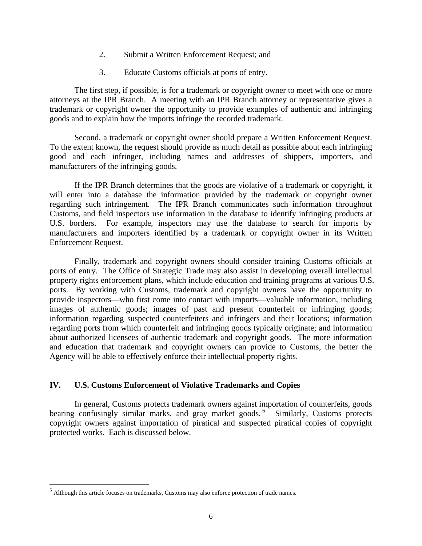- 2. Submit a Written Enforcement Request; and
- 3. Educate Customs officials at ports of entry.

 The first step, if possible, is for a trademark or copyright owner to meet with one or more attorneys at the IPR Branch. A meeting with an IPR Branch attorney or representative gives a trademark or copyright owner the opportunity to provide examples of authentic and infringing goods and to explain how the imports infringe the recorded trademark.

 Second, a trademark or copyright owner should prepare a Written Enforcement Request. To the extent known, the request should provide as much detail as possible about each infringing good and each infringer, including names and addresses of shippers, importers, and manufacturers of the infringing goods.

 If the IPR Branch determines that the goods are violative of a trademark or copyright, it will enter into a database the information provided by the trademark or copyright owner regarding such infringement. The IPR Branch communicates such information throughout Customs, and field inspectors use information in the database to identify infringing products at U.S. borders. For example, inspectors may use the database to search for imports by manufacturers and importers identified by a trademark or copyright owner in its Written Enforcement Request.

 Finally, trademark and copyright owners should consider training Customs officials at ports of entry. The Office of Strategic Trade may also assist in developing overall intellectual property rights enforcement plans, which include education and training programs at various U.S. ports. By working with Customs, trademark and copyright owners have the opportunity to provide inspectors—who first come into contact with imports—valuable information, including images of authentic goods; images of past and present counterfeit or infringing goods; information regarding suspected counterfeiters and infringers and their locations; information regarding ports from which counterfeit and infringing goods typically originate; and information about authorized licensees of authentic trademark and copyright goods. The more information and education that trademark and copyright owners can provide to Customs, the better the Agency will be able to effectively enforce their intellectual property rights.

## **IV. U.S. Customs Enforcement of Violative Trademarks and Copies**

 In general, Customs protects trademark owners against importation of counterfeits, goods bearing confusingly similar marks, and gray market goods.<sup>[6](#page-6-0)</sup> Similarly, Customs protects copyright owners against importation of piratical and suspected piratical copies of copyright protected works. Each is discussed below.

<span id="page-6-0"></span> $<sup>6</sup>$  Although this article focuses on trademarks, Customs may also enforce protection of trade names.</sup>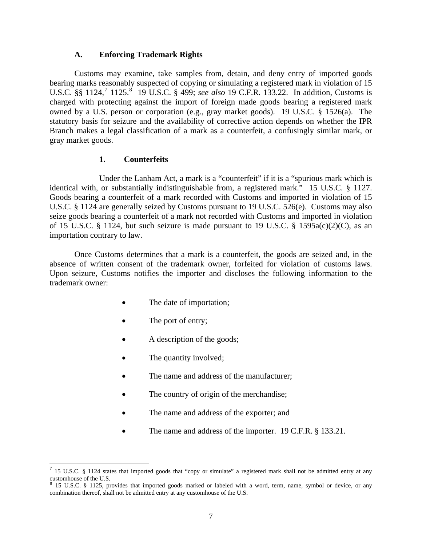#### **A. Enforcing Trademark Rights**

 Customs may examine, take samples from, detain, and deny entry of imported goods bearing marks reasonably suspected of copying or simulating a registered mark in violation of 15 U.S.C. §§ 1124,<sup>[7](#page-7-0)</sup> 1125.<sup>§</sup> 19 U.S.C. § 499; *see also* 19 C.F.R. 133.22. In addition, Customs is charged with protecting against the import of foreign made goods bearing a registered mark owned by a U.S. person or corporation (e.g., gray market goods). 19 U.S.C. § 1526(a). The statutory basis for seizure and the availability of corrective action depends on whether the IPR Branch makes a legal classification of a mark as a counterfeit, a confusingly similar mark, or gray market goods.

## **1. Counterfeits**

 Under the Lanham Act, a mark is a "counterfeit" if it is a "spurious mark which is identical with, or substantially indistinguishable from, a registered mark." 15 U.S.C. § 1127. Goods bearing a counterfeit of a mark recorded with Customs and imported in violation of 15 U.S.C. § 1124 are generally seized by Customs pursuant to 19 U.S.C. 526(e). Customs may also seize goods bearing a counterfeit of a mark not recorded with Customs and imported in violation of 15 U.S.C. § 1124, but such seizure is made pursuant to 19 U.S.C. § 1595a(c)(2)(C), as an importation contrary to law.

 Once Customs determines that a mark is a counterfeit, the goods are seized and, in the absence of written consent of the trademark owner, forfeited for violation of customs laws. Upon seizure, Customs notifies the importer and discloses the following information to the trademark owner:

- The date of importation;
- The port of entry;

- A description of the goods;
- The quantity involved;
- The name and address of the manufacturer;
- The country of origin of the merchandise;
- The name and address of the exporter; and
- The name and address of the importer. 19 C.F.R. § 133.21.

<span id="page-7-0"></span><sup>&</sup>lt;sup>7</sup> 15 U.S.C. § 1124 states that imported goods that "copy or simulate" a registered mark shall not be admitted entry at any

<span id="page-7-1"></span>customhouse of the U.S.<br><sup>8</sup> 15 U.S.C. § 1125, provides that imported goods marked or labeled with a word, term, name, symbol or device, or any combination thereof, shall not be admitted entry at any customhouse of the U.S.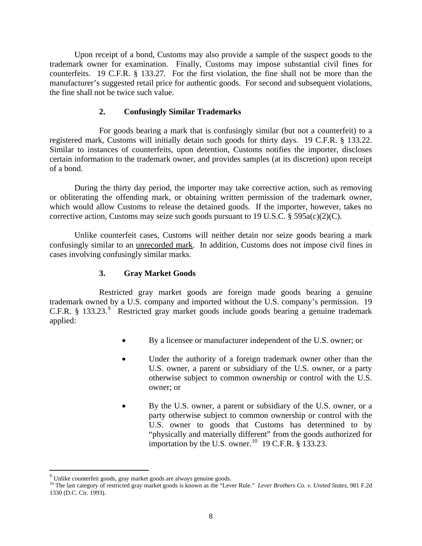Upon receipt of a bond, Customs may also provide a sample of the suspect goods to the trademark owner for examination. Finally, Customs may impose substantial civil fines for counterfeits. 19 C.F.R. § 133.27. For the first violation, the fine shall not be more than the manufacturer's suggested retail price for authentic goods. For second and subsequent violations, the fine shall not be twice such value.

## **2. Confusingly Similar Trademarks**

 For goods bearing a mark that is confusingly similar (but not a counterfeit) to a registered mark, Customs will initially detain such goods for thirty days. 19 C.F.R. § 133.22. Similar to instances of counterfeits, upon detention, Customs notifies the importer, discloses certain information to the trademark owner, and provides samples (at its discretion) upon receipt of a bond.

 During the thirty day period, the importer may take corrective action, such as removing or obliterating the offending mark, or obtaining written permission of the trademark owner, which would allow Customs to release the detained goods. If the importer, however, takes no corrective action, Customs may seize such goods pursuant to 19 U.S.C. § 595a(c)(2)(C).

 Unlike counterfeit cases, Customs will neither detain nor seize goods bearing a mark confusingly similar to an unrecorded mark. In addition, Customs does not impose civil fines in cases involving confusingly similar marks.

## **3. Gray Market Goods**

 Restricted gray market goods are foreign made goods bearing a genuine trademark owned by a U.S. company and imported without the U.S. company's permission. 19 C.F.R. § 133.23.<sup>[9](#page-8-0)</sup> Restricted gray market goods include goods bearing a genuine trademark applied:

- By a licensee or manufacturer independent of the U.S. owner; or
- Under the authority of a foreign trademark owner other than the U.S. owner, a parent or subsidiary of the U.S. owner, or a party otherwise subject to common ownership or control with the U.S. owner; or
- By the U.S. owner, a parent or subsidiary of the U.S. owner, or a party otherwise subject to common ownership or control with the U.S. owner to goods that Customs has determined to by "physically and materially different" from the goods authorized for importation by the U.S. owner.<sup>[10](#page-8-1)</sup> 19 C.F.R.  $§$  133.23.

<span id="page-8-1"></span><span id="page-8-0"></span><sup>&</sup>lt;sup>9</sup> Unlike counterfeit goods, gray market goods are always genuine goods.<br><sup>10</sup> The last category of restricted gray market goods is known as the "Lever Rule." *Lever Brothers Co. v. United States*, 981 F.2d 1330 (D.C. Cir. 1993).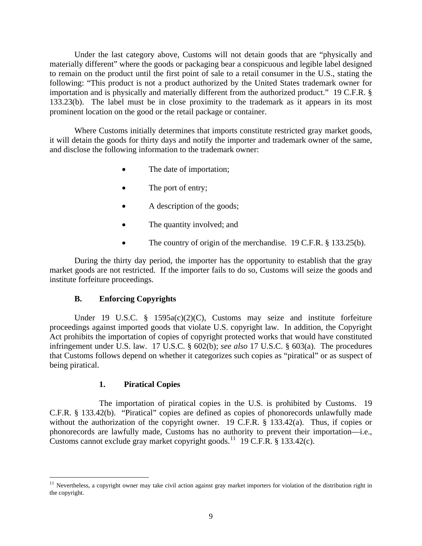Under the last category above, Customs will not detain goods that are "physically and materially different" where the goods or packaging bear a conspicuous and legible label designed to remain on the product until the first point of sale to a retail consumer in the U.S., stating the following: "This product is not a product authorized by the United States trademark owner for importation and is physically and materially different from the authorized product." 19 C.F.R. § 133.23(b). The label must be in close proximity to the trademark as it appears in its most prominent location on the good or the retail package or container.

 Where Customs initially determines that imports constitute restricted gray market goods, it will detain the goods for thirty days and notify the importer and trademark owner of the same, and disclose the following information to the trademark owner:

- The date of importation;
- The port of entry;
- A description of the goods;
- The quantity involved; and
- The country of origin of the merchandise. 19 C.F.R. § 133.25(b).

 During the thirty day period, the importer has the opportunity to establish that the gray market goods are not restricted. If the importer fails to do so, Customs will seize the goods and institute forfeiture proceedings.

## **B. Enforcing Copyrights**

Under 19 U.S.C. § 1595a(c)(2)(C), Customs may seize and institute forfeiture proceedings against imported goods that violate U.S. copyright law. In addition, the Copyright Act prohibits the importation of copies of copyright protected works that would have constituted infringement under U.S. law. 17 U.S.C. § 602(b); *see also* 17 U.S.C. § 603(a). The procedures that Customs follows depend on whether it categorizes such copies as "piratical" or as suspect of being piratical.

## **1. Piratical Copies**

 $\overline{a}$ 

 The importation of piratical copies in the U.S. is prohibited by Customs. 19 C.F.R. § 133.42(b). "Piratical" copies are defined as copies of phonorecords unlawfully made without the authorization of the copyright owner. 19 C.F.R. § 133.42(a). Thus, if copies or phonorecords are lawfully made, Customs has no authority to prevent their importation—i.e., Customs cannot exclude gray market copyright goods.<sup>[11](#page-9-0)</sup> 19 C.F.R. § 133.42(c).

<span id="page-9-0"></span> $11$  Nevertheless, a copyright owner may take civil action against gray market importers for violation of the distribution right in the copyright.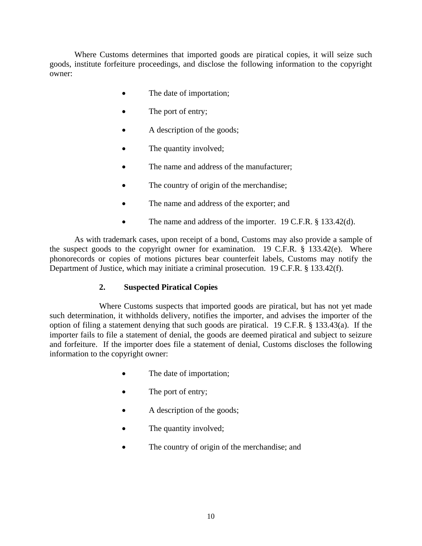Where Customs determines that imported goods are piratical copies, it will seize such goods, institute forfeiture proceedings, and disclose the following information to the copyright owner:

- The date of importation;
- The port of entry;
- A description of the goods;
- The quantity involved;
- The name and address of the manufacturer;
- The country of origin of the merchandise;
- The name and address of the exporter; and
- The name and address of the importer. 19 C.F.R. § 133.42(d).

 As with trademark cases, upon receipt of a bond, Customs may also provide a sample of the suspect goods to the copyright owner for examination. 19 C.F.R. § 133.42(e). Where phonorecords or copies of motions pictures bear counterfeit labels, Customs may notify the Department of Justice, which may initiate a criminal prosecution. 19 C.F.R. § 133.42(f).

# **2. Suspected Piratical Copies**

 Where Customs suspects that imported goods are piratical, but has not yet made such determination, it withholds delivery, notifies the importer, and advises the importer of the option of filing a statement denying that such goods are piratical. 19 C.F.R. § 133.43(a). If the importer fails to file a statement of denial, the goods are deemed piratical and subject to seizure and forfeiture. If the importer does file a statement of denial, Customs discloses the following information to the copyright owner:

- The date of importation;
- The port of entry;
- A description of the goods;
- The quantity involved;
- The country of origin of the merchandise; and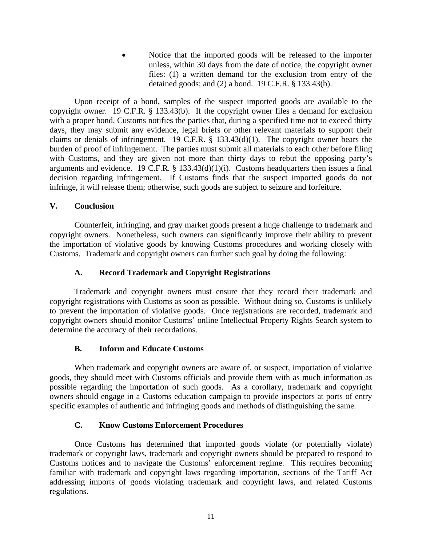• Notice that the imported goods will be released to the importer unless, within 30 days from the date of notice, the copyright owner files: (1) a written demand for the exclusion from entry of the detained goods; and (2) a bond. 19 C.F.R. § 133.43(b).

 Upon receipt of a bond, samples of the suspect imported goods are available to the copyright owner. 19 C.F.R. § 133.43(b). If the copyright owner files a demand for exclusion with a proper bond, Customs notifies the parties that, during a specified time not to exceed thirty days, they may submit any evidence, legal briefs or other relevant materials to support their claims or denials of infringement. 19 C.F.R. § 133.43(d)(1). The copyright owner bears the burden of proof of infringement. The parties must submit all materials to each other before filing with Customs, and they are given not more than thirty days to rebut the opposing party's arguments and evidence. 19 C.F.R.  $\S$  133.43(d)(1)(i). Customs headquarters then issues a final decision regarding infringement. If Customs finds that the suspect imported goods do not infringe, it will release them; otherwise, such goods are subject to seizure and forfeiture.

# **V. Conclusion**

 Counterfeit, infringing, and gray market goods present a huge challenge to trademark and copyright owners. Nonetheless, such owners can significantly improve their ability to prevent the importation of violative goods by knowing Customs procedures and working closely with Customs. Trademark and copyright owners can further such goal by doing the following:

## **A. Record Trademark and Copyright Registrations**

Trademark and copyright owners must ensure that they record their trademark and copyright registrations with Customs as soon as possible. Without doing so, Customs is unlikely to prevent the importation of violative goods. Once registrations are recorded, trademark and copyright owners should monitor Customs' online Intellectual Property Rights Search system to determine the accuracy of their recordations.

# **B. Inform and Educate Customs**

When trademark and copyright owners are aware of, or suspect, importation of violative goods, they should meet with Customs officials and provide them with as much information as possible regarding the importation of such goods. As a corollary, trademark and copyright owners should engage in a Customs education campaign to provide inspectors at ports of entry specific examples of authentic and infringing goods and methods of distinguishing the same.

# **C. Know Customs Enforcement Procedures**

Once Customs has determined that imported goods violate (or potentially violate) trademark or copyright laws, trademark and copyright owners should be prepared to respond to Customs notices and to navigate the Customs' enforcement regime. This requires becoming familiar with trademark and copyright laws regarding importation, sections of the Tariff Act addressing imports of goods violating trademark and copyright laws, and related Customs regulations.